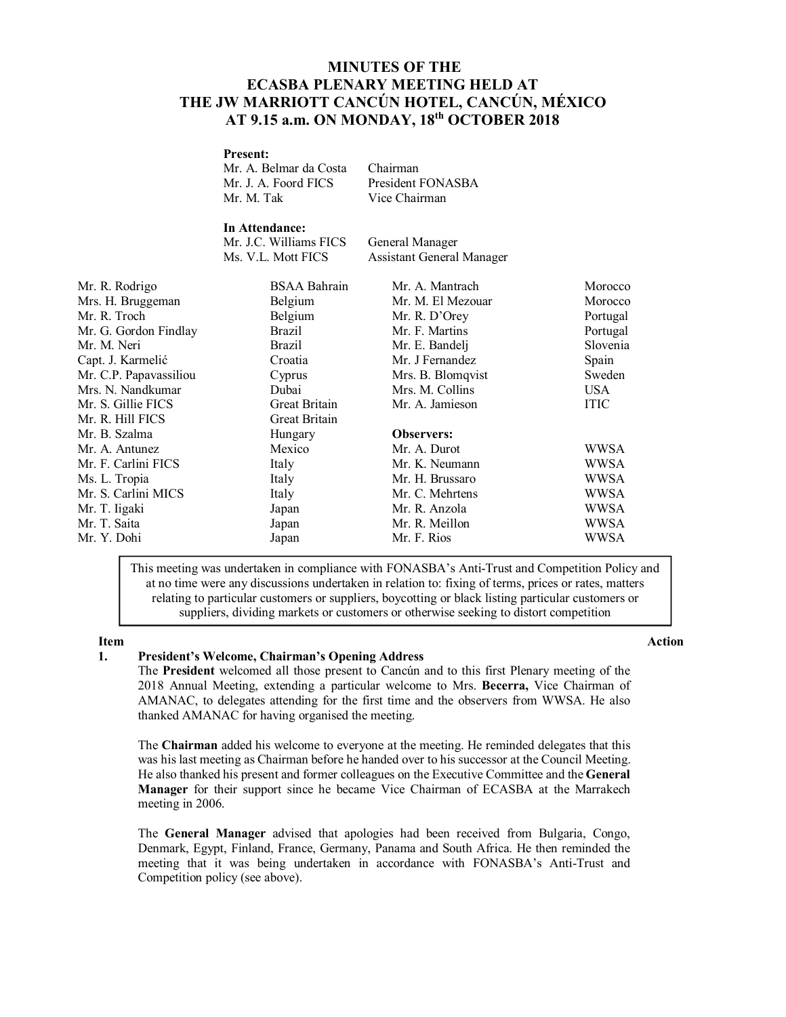# **MINUTES OF THE ECASBA PLENARY MEETING HELD AT THE JW MARRIOTT CANCÚN HOTEL, CANCÚN, MÉXICO AT 9.15 a.m. ON MONDAY, 18 th OCTOBER 2018**

### **Present:**

|                        | Mr. A. Belmar da Costa<br>Mr. J. A. Foord FICS<br>Mr. M. Tak   | Chairman<br>President FONASBA<br>Vice Chairman |             |
|------------------------|----------------------------------------------------------------|------------------------------------------------|-------------|
|                        | In Attendance:<br>Mr. J.C. Williams FICS<br>Ms. V.L. Mott FICS | General Manager<br>Assistant General Manager   |             |
| Mr. R. Rodrigo         | BSAA Bahrain                                                   | Mr. A. Mantrach                                | Morocco     |
| Mrs. H. Bruggeman      | Belgium                                                        | Mr. M. El Mezouar                              | Morocco     |
| Mr. R. Troch           | Belgium                                                        | Mr. R. D'Orey                                  | Portugal    |
| Mr. G. Gordon Findlay  | Brazil                                                         | Mr. F. Martins                                 | Portugal    |
| Mr. M. Neri            | Brazil                                                         | Mr. E. Bandelj                                 | Slovenia    |
| Capt. J. Karmelić      | Croatia                                                        | Mr. J Fernandez                                | Spain       |
| Mr. C.P. Papavassiliou | Cyprus                                                         | Mrs. B. Blomqvist                              | Sweden      |
| Mrs. N. Nandkumar      | Dubai                                                          | Mrs. M. Collins                                | USA         |
| Mr. S. Gillie FICS     | Great Britain                                                  | Mr. A. Jamieson                                | <b>ITIC</b> |
| Mr. R. Hill FICS       | Great Britain                                                  |                                                |             |
| Mr. B. Szalma          | Hungary                                                        | <b>Observers:</b>                              |             |
| Mr. A. Antunez         | Mexico                                                         | Mr. A. Durot                                   | WWSA        |
| Mr. F. Carlini FICS    | Italy                                                          | Mr. K. Neumann                                 | WWSA        |
| Ms. L. Tropia          | Italy                                                          | Mr. H. Brussaro                                | WWSA        |
| Mr. S. Carlini MICS    | Italy                                                          | Mr. C. Mehrtens                                | WWSA        |
| Mr. T. Iigaki          | Japan                                                          | Mr. R. Anzola                                  | WWSA        |
| Mr. T. Saita           | Japan                                                          | Mr. R. Meillon                                 | WWSA        |
| Mr. Y. Dohi            | Japan                                                          | Mr. F. Rios                                    | WWSA        |
|                        |                                                                |                                                |             |

This meeting was undertaken in compliance with FONASBA's Anti-Trust and Competition Policy and at no time were any discussions undertaken in relation to: fixing of terms, prices or rates, matters relating to particular customers or suppliers, boycotting or black listing particular customers or suppliers, dividing markets or customers or otherwise seeking to distort competition

# **1. President's Welcome, Chairman's Opening Address**

The **President** welcomed all those present to Cancún and to this first Plenary meeting of the 2018 Annual Meeting, extending a particular welcome to Mrs. **Becerra,** Vice Chairman of AMANAC, to delegates attending for the first time and the observers from WWSA. He also thanked AMANAC for having organised the meeting.

The **Chairman** added his welcome to everyone at the meeting. He reminded delegates that this was his last meeting as Chairman before he handed over to his successor at the Council Meeting. He also thanked his present and former colleagues on the Executive Committee and the **General Manager** for their support since he became Vice Chairman of ECASBA at the Marrakech meeting in 2006.

The **General Manager** advised that apologies had been received from Bulgaria, Congo, Denmark, Egypt, Finland, France, Germany, Panama and South Africa. He then reminded the meeting that it was being undertaken in accordance with FONASBA's Anti-Trust and Competition policy (see above).

## **Item Action**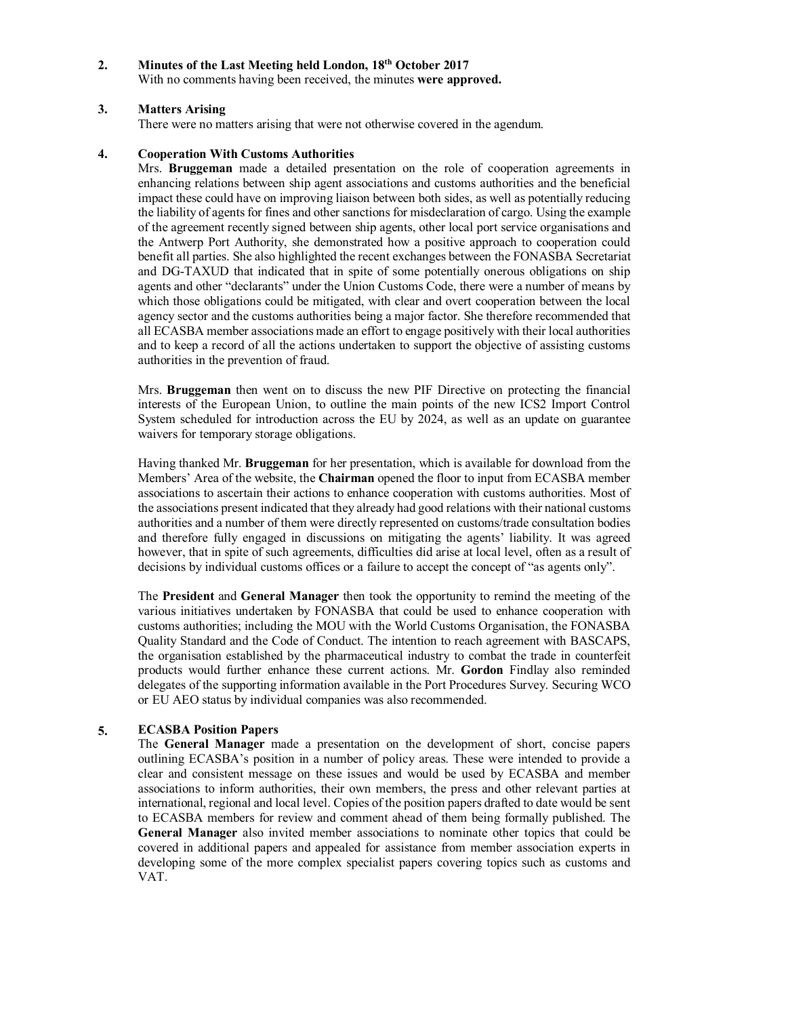#### **2. Minutes of the Last Meeting held London, 18 th October 2017**

With no comments having been received, the minutes **were approved.**

#### **3. Matters Arising**

There were no matters arising that were not otherwise covered in the agendum.

#### **4. Cooperation With Customs Authorities**

Mrs. **Bruggeman** made a detailed presentation on the role of cooperation agreements in enhancing relations between ship agent associations and customs authorities and the beneficial impact these could have on improving liaison between both sides, as well as potentially reducing the liability of agents for fines and other sanctions for misdeclaration of cargo. Using the example of the agreement recently signed between ship agents, other local port service organisations and the Antwerp Port Authority, she demonstrated how a positive approach to cooperation could benefit all parties. She also highlighted the recent exchanges between the FONASBA Secretariat and DG-TAXUD that indicated that in spite of some potentially onerous obligations on ship agents and other "declarants" under the Union Customs Code, there were a number of means by which those obligations could be mitigated, with clear and overt cooperation between the local agency sector and the customs authorities being a major factor. She therefore recommended that all ECASBA member associations made an effort to engage positively with their local authorities and to keep a record of all the actions undertaken to support the objective of assisting customs authorities in the prevention of fraud.

Mrs. **Bruggeman** then went on to discuss the new PIF Directive on protecting the financial interests of the European Union, to outline the main points of the new ICS2 Import Control System scheduled for introduction across the EU by 2024, as well as an update on guarantee waivers for temporary storage obligations.

Having thanked Mr. **Bruggeman** for her presentation, which is available for download from the Members' Area of the website, the **Chairman** opened the floor to input from ECASBA member associations to ascertain their actions to enhance cooperation with customs authorities. Most of the associations present indicated that they already had good relations with their national customs authorities and a number of them were directly represented on customs/trade consultation bodies and therefore fully engaged in discussions on mitigating the agents' liability. It was agreed however, that in spite of such agreements, difficulties did arise at local level, often as a result of decisions by individual customs offices or a failure to accept the concept of "as agents only".

The **President** and **General Manager** then took the opportunity to remind the meeting of the various initiatives undertaken by FONASBA that could be used to enhance cooperation with customs authorities; including the MOU with the World Customs Organisation, the FONASBA Quality Standard and the Code of Conduct. The intention to reach agreement with BASCAPS, the organisation established by the pharmaceutical industry to combat the trade in counterfeit products would further enhance these current actions. Mr. **Gordon** Findlay also reminded delegates of the supporting information available in the Port Procedures Survey. Securing WCO or EU AEO status by individual companies was also recommended.

#### **5. ECASBA Position Papers**

The **General Manager** made a presentation on the development of short, concise papers outlining ECASBA's position in a number of policy areas. These were intended to provide a clear and consistent message on these issues and would be used by ECASBA and member associations to inform authorities, their own members, the press and other relevant parties at international, regional and local level. Copies of the position papers drafted to date would be sent to ECASBA members for review and comment ahead of them being formally published. The **General Manager** also invited member associations to nominate other topics that could be covered in additional papers and appealed for assistance from member association experts in developing some of the more complex specialist papers covering topics such as customs and VAT.